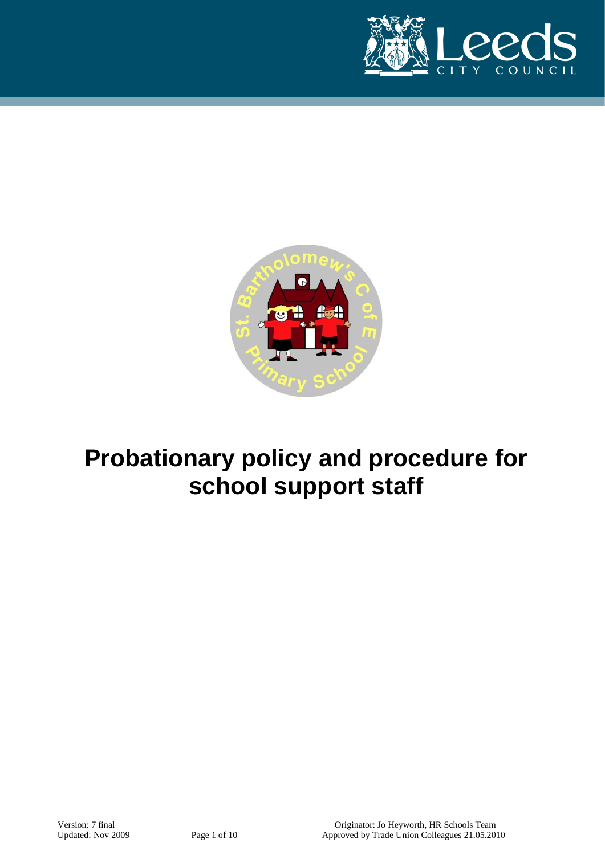



# **Probationary policy and procedure for school support staff**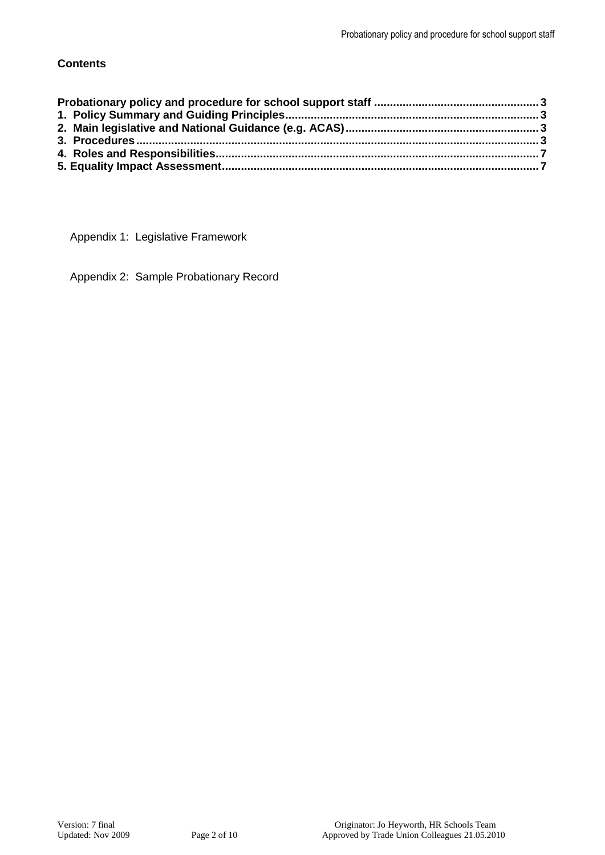# **Contents**

Appendix 1: Legislative Framework

Appendix 2: Sample Probationary Record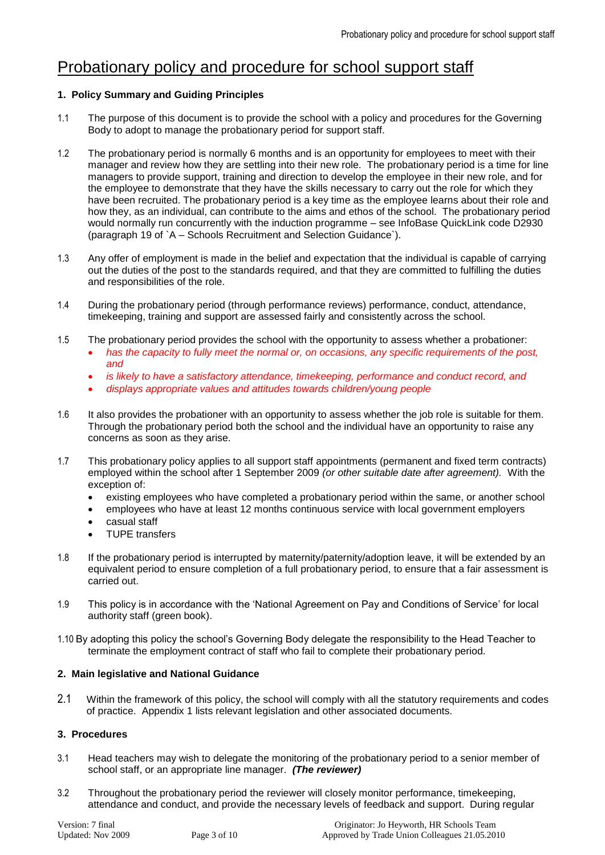# <span id="page-2-0"></span>Probationary policy and procedure for school support staff

# <span id="page-2-1"></span>**1. Policy Summary and Guiding Principles**

- 1.1 The purpose of this document is to provide the school with a policy and procedures for the Governing Body to adopt to manage the probationary period for support staff.
- 1.2 The probationary period is normally 6 months and is an opportunity for employees to meet with their manager and review how they are settling into their new role. The probationary period is a time for line managers to provide support, training and direction to develop the employee in their new role, and for the employee to demonstrate that they have the skills necessary to carry out the role for which they have been recruited. The probationary period is a key time as the employee learns about their role and how they, as an individual, can contribute to the aims and ethos of the school. The probationary period would normally run concurrently with the induction programme – see InfoBase QuickLink code D2930 (paragraph 19 of `A – Schools Recruitment and Selection Guidance`).
- 1.3 Any offer of employment is made in the belief and expectation that the individual is capable of carrying out the duties of the post to the standards required, and that they are committed to fulfilling the duties and responsibilities of the role.
- 1.4 During the probationary period (through performance reviews) performance, conduct, attendance, timekeeping, training and support are assessed fairly and consistently across the school.
- 1.5 The probationary period provides the school with the opportunity to assess whether a probationer:
	- *has the capacity to fully meet the normal or, on occasions, any specific requirements of the post, and*
	- *is likely to have a satisfactory attendance, timekeeping, performance and conduct record, and*
	- *displays appropriate values and attitudes towards children/young people*
- 1.6 It also provides the probationer with an opportunity to assess whether the job role is suitable for them. Through the probationary period both the school and the individual have an opportunity to raise any concerns as soon as they arise.
- 1.7 This probationary policy applies to all support staff appointments (permanent and fixed term contracts) employed within the school after 1 September 2009 *(or other suitable date after agreement).* With the exception of:
	- existing employees who have completed a probationary period within the same, or another school
	- employees who have at least 12 months continuous service with local government employers
	- casual staff
	- TUPE transfers
- 1.8 If the probationary period is interrupted by maternity/paternity/adoption leave, it will be extended by an equivalent period to ensure completion of a full probationary period, to ensure that a fair assessment is carried out.
- 1.9 This policy is in accordance with the 'National Agreement on Pay and Conditions of Service' for local authority staff (green book).
- 1.10 By adopting this policy the school's Governing Body delegate the responsibility to the Head Teacher to terminate the employment contract of staff who fail to complete their probationary period.

# <span id="page-2-2"></span>**2. Main legislative and National Guidance**

2.1 Within the framework of this policy, the school will comply with all the statutory requirements and codes of practice. Appendix 1 lists relevant legislation and other associated documents.

# <span id="page-2-3"></span>**3. Procedures**

- 3.1 Head teachers may wish to delegate the monitoring of the probationary period to a senior member of school staff, or an appropriate line manager. *(The reviewer)*
- 3.2 Throughout the probationary period the reviewer will closely monitor performance, timekeeping, attendance and conduct, and provide the necessary levels of feedback and support. During regular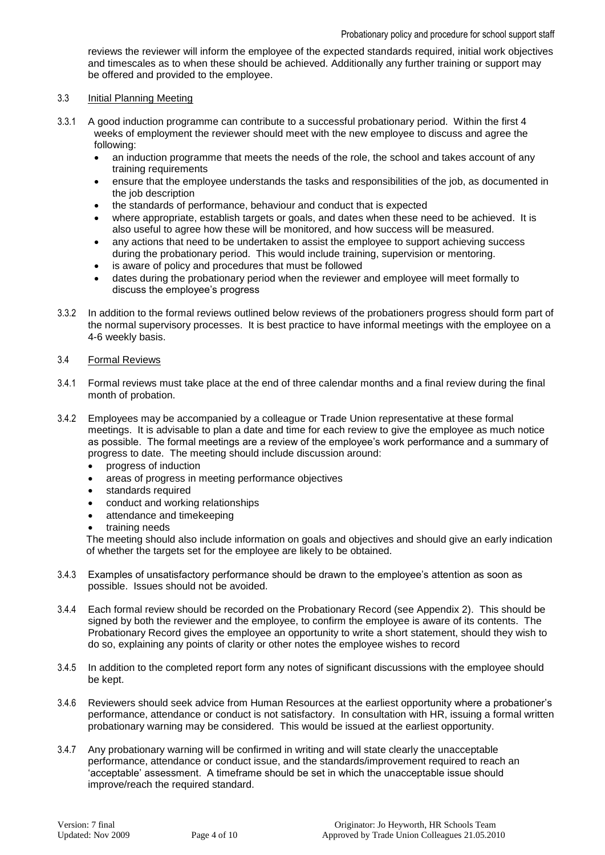reviews the reviewer will inform the employee of the expected standards required, initial work objectives and timescales as to when these should be achieved. Additionally any further training or support may be offered and provided to the employee.

#### 3.3 Initial Planning Meeting

- 3.3.1 A good induction programme can contribute to a successful probationary period. Within the first 4 weeks of employment the reviewer should meet with the new employee to discuss and agree the following:
	- an induction programme that meets the needs of the role, the school and takes account of any training requirements
	- ensure that the employee understands the tasks and responsibilities of the job, as documented in the job description
	- the standards of performance, behaviour and conduct that is expected
	- where appropriate, establish targets or goals, and dates when these need to be achieved. It is also useful to agree how these will be monitored, and how success will be measured.
	- any actions that need to be undertaken to assist the employee to support achieving success during the probationary period. This would include training, supervision or mentoring.
	- is aware of policy and procedures that must be followed
	- dates during the probationary period when the reviewer and employee will meet formally to discuss the employee's progress
- 3.3.2 In addition to the formal reviews outlined below reviews of the probationers progress should form part of the normal supervisory processes. It is best practice to have informal meetings with the employee on a 4-6 weekly basis.

#### 3.4 Formal Reviews

- 3.4.1 Formal reviews must take place at the end of three calendar months and a final review during the final month of probation.
- 3.4.2 Employees may be accompanied by a colleague or Trade Union representative at these formal meetings. It is advisable to plan a date and time for each review to give the employee as much notice as possible. The formal meetings are a review of the employee's work performance and a summary of progress to date. The meeting should include discussion around:
	- progress of induction
	- areas of progress in meeting performance objectives
	- standards required
	- conduct and working relationships
	- attendance and timekeeping
	- training needs

The meeting should also include information on goals and objectives and should give an early indication of whether the targets set for the employee are likely to be obtained.

- 3.4.3 Examples of unsatisfactory performance should be drawn to the employee's attention as soon as possible. Issues should not be avoided.
- 3.4.4 Each formal review should be recorded on the Probationary Record (see Appendix 2). This should be signed by both the reviewer and the employee, to confirm the employee is aware of its contents. The Probationary Record gives the employee an opportunity to write a short statement, should they wish to do so, explaining any points of clarity or other notes the employee wishes to record
- 3.4.5 In addition to the completed report form any notes of significant discussions with the employee should be kept.
- 3.4.6 Reviewers should seek advice from Human Resources at the earliest opportunity where a probationer's performance, attendance or conduct is not satisfactory. In consultation with HR, issuing a formal written probationary warning may be considered. This would be issued at the earliest opportunity.
- 3.4.7 Any probationary warning will be confirmed in writing and will state clearly the unacceptable performance, attendance or conduct issue, and the standards/improvement required to reach an 'acceptable' assessment. A timeframe should be set in which the unacceptable issue should improve/reach the required standard.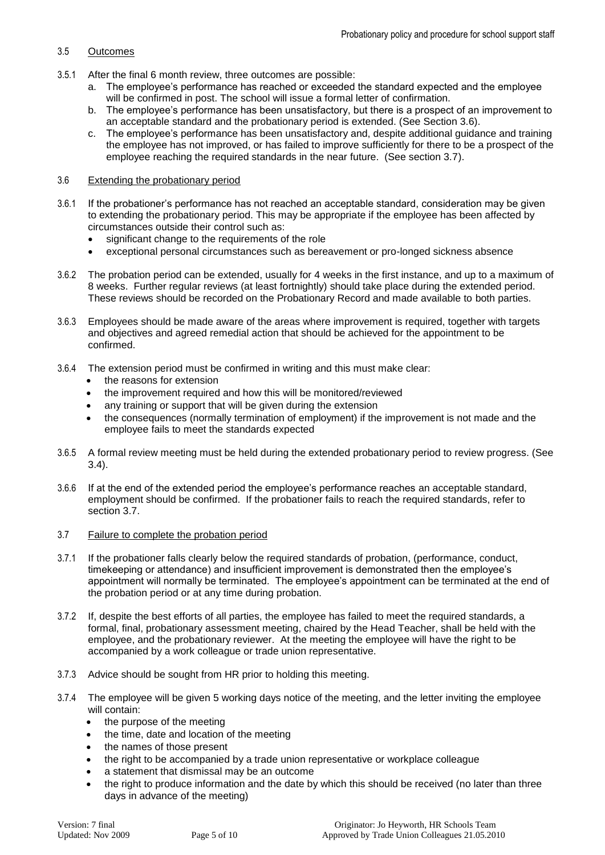# 3.5 Outcomes

- 3.5.1 After the final 6 month review, three outcomes are possible:
	- a. The employee's performance has reached or exceeded the standard expected and the employee will be confirmed in post. The school will issue a formal letter of confirmation.
	- b. The employee's performance has been unsatisfactory, but there is a prospect of an improvement to an acceptable standard and the probationary period is extended. (See Section 3.6).
	- c. The employee's performance has been unsatisfactory and, despite additional guidance and training the employee has not improved, or has failed to improve sufficiently for there to be a prospect of the employee reaching the required standards in the near future. (See section 3.7).

### 3.6 Extending the probationary period

- 3.6.1 If the probationer's performance has not reached an acceptable standard, consideration may be given to extending the probationary period. This may be appropriate if the employee has been affected by circumstances outside their control such as:
	- significant change to the requirements of the role
	- exceptional personal circumstances such as bereavement or pro-longed sickness absence
- 3.6.2 The probation period can be extended, usually for 4 weeks in the first instance, and up to a maximum of 8 weeks. Further regular reviews (at least fortnightly) should take place during the extended period. These reviews should be recorded on the Probationary Record and made available to both parties.
- 3.6.3 Employees should be made aware of the areas where improvement is required, together with targets and objectives and agreed remedial action that should be achieved for the appointment to be confirmed.
- 3.6.4 The extension period must be confirmed in writing and this must make clear:
	- the reasons for extension
	- the improvement required and how this will be monitored/reviewed
	- any training or support that will be given during the extension
	- the consequences (normally termination of employment) if the improvement is not made and the employee fails to meet the standards expected
- 3.6.5 A formal review meeting must be held during the extended probationary period to review progress. (See 3.4).
- 3.6.6 If at the end of the extended period the employee's performance reaches an acceptable standard, employment should be confirmed. If the probationer fails to reach the required standards, refer to section 3.7.
- 3.7 Failure to complete the probation period
- 3.7.1 If the probationer falls clearly below the required standards of probation, (performance, conduct, timekeeping or attendance) and insufficient improvement is demonstrated then the employee's appointment will normally be terminated. The employee's appointment can be terminated at the end of the probation period or at any time during probation.
- 3.7.2 If, despite the best efforts of all parties, the employee has failed to meet the required standards, a formal, final, probationary assessment meeting, chaired by the Head Teacher, shall be held with the employee, and the probationary reviewer. At the meeting the employee will have the right to be accompanied by a work colleague or trade union representative.
- 3.7.3 Advice should be sought from HR prior to holding this meeting.
- 3.7.4 The employee will be given 5 working days notice of the meeting, and the letter inviting the employee will contain:
	- the purpose of the meeting
	- the time, date and location of the meeting
	- the names of those present
	- the right to be accompanied by a trade union representative or workplace colleague
	- a statement that dismissal may be an outcome
	- the right to produce information and the date by which this should be received (no later than three days in advance of the meeting)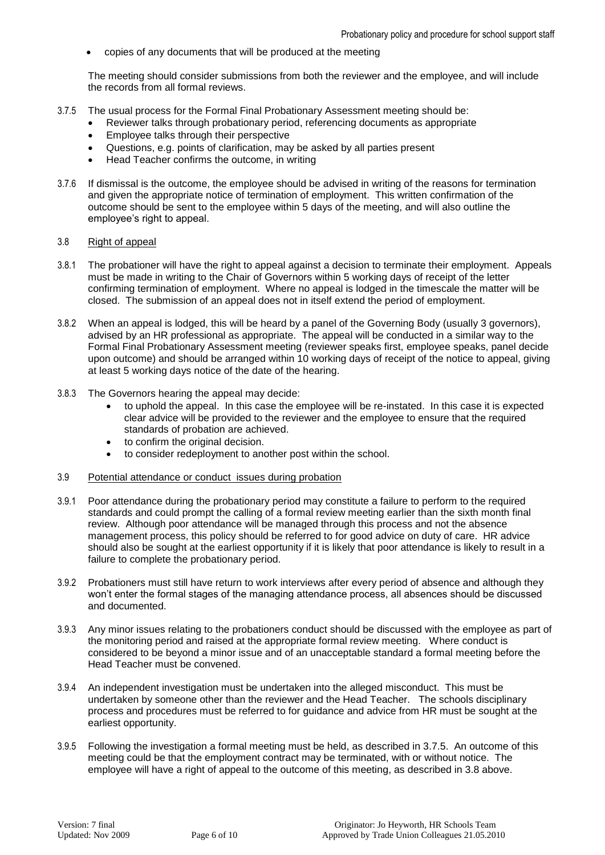copies of any documents that will be produced at the meeting

The meeting should consider submissions from both the reviewer and the employee, and will include the records from all formal reviews.

- 3.7.5 The usual process for the Formal Final Probationary Assessment meeting should be:
	- Reviewer talks through probationary period, referencing documents as appropriate
	- Employee talks through their perspective
	- Questions, e.g. points of clarification, may be asked by all parties present
	- Head Teacher confirms the outcome, in writing
- 3.7.6 If dismissal is the outcome, the employee should be advised in writing of the reasons for termination and given the appropriate notice of termination of employment. This written confirmation of the outcome should be sent to the employee within 5 days of the meeting, and will also outline the employee's right to appeal.

#### 3.8 Right of appeal

- 3.8.1 The probationer will have the right to appeal against a decision to terminate their employment. Appeals must be made in writing to the Chair of Governors within 5 working days of receipt of the letter confirming termination of employment. Where no appeal is lodged in the timescale the matter will be closed. The submission of an appeal does not in itself extend the period of employment.
- 3.8.2 When an appeal is lodged, this will be heard by a panel of the Governing Body (usually 3 governors), advised by an HR professional as appropriate. The appeal will be conducted in a similar way to the Formal Final Probationary Assessment meeting (reviewer speaks first, employee speaks, panel decide upon outcome) and should be arranged within 10 working days of receipt of the notice to appeal, giving at least 5 working days notice of the date of the hearing.
- 3.8.3 The Governors hearing the appeal may decide:
	- to uphold the appeal. In this case the employee will be re-instated. In this case it is expected clear advice will be provided to the reviewer and the employee to ensure that the required standards of probation are achieved.
	- to confirm the original decision.
	- to consider redeployment to another post within the school.
- 3.9 Potential attendance or conduct issues during probation
- 3.9.1 Poor attendance during the probationary period may constitute a failure to perform to the required standards and could prompt the calling of a formal review meeting earlier than the sixth month final review. Although poor attendance will be managed through this process and not the absence management process, this policy should be referred to for good advice on duty of care. HR advice should also be sought at the earliest opportunity if it is likely that poor attendance is likely to result in a failure to complete the probationary period.
- 3.9.2 Probationers must still have return to work interviews after every period of absence and although they won't enter the formal stages of the managing attendance process, all absences should be discussed and documented.
- 3.9.3 Any minor issues relating to the probationers conduct should be discussed with the employee as part of the monitoring period and raised at the appropriate formal review meeting. Where conduct is considered to be beyond a minor issue and of an unacceptable standard a formal meeting before the Head Teacher must be convened.
- 3.9.4 An independent investigation must be undertaken into the alleged misconduct. This must be undertaken by someone other than the reviewer and the Head Teacher. The schools disciplinary process and procedures must be referred to for guidance and advice from HR must be sought at the earliest opportunity.
- 3.9.5 Following the investigation a formal meeting must be held, as described in 3.7.5. An outcome of this meeting could be that the employment contract may be terminated, with or without notice. The employee will have a right of appeal to the outcome of this meeting, as described in 3.8 above.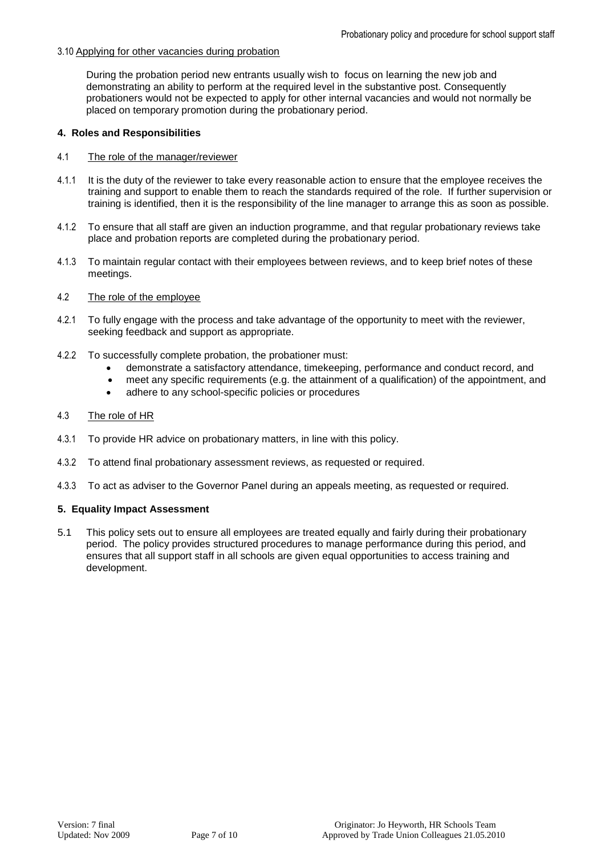# 3.10 Applying for other vacancies during probation

<span id="page-6-0"></span>During the probation period new entrants usually wish to focus on learning the new job and demonstrating an ability to perform at the required level in the substantive post. Consequently probationers would not be expected to apply for other internal vacancies and would not normally be placed on temporary promotion during the probationary period.

# **4. Roles and Responsibilities**

#### 4.1 The role of the manager/reviewer

- 4.1.1 It is the duty of the reviewer to take every reasonable action to ensure that the employee receives the training and support to enable them to reach the standards required of the role. If further supervision or training is identified, then it is the responsibility of the line manager to arrange this as soon as possible.
- 4.1.2 To ensure that all staff are given an induction programme, and that regular probationary reviews take place and probation reports are completed during the probationary period.
- 4.1.3 To maintain regular contact with their employees between reviews, and to keep brief notes of these meetings.
- 4.2 The role of the employee
- 4.2.1 To fully engage with the process and take advantage of the opportunity to meet with the reviewer, seeking feedback and support as appropriate.
- 4.2.2 To successfully complete probation, the probationer must:
	- demonstrate a satisfactory attendance, timekeeping, performance and conduct record, and
	- meet any specific requirements (e.g. the attainment of a qualification) of the appointment, and
	- adhere to any school-specific policies or procedures

### 4.3 The role of HR

- 4.3.1 To provide HR advice on probationary matters, in line with this policy.
- 4.3.2 To attend final probationary assessment reviews, as requested or required.
- 4.3.3 To act as adviser to the Governor Panel during an appeals meeting, as requested or required.

#### <span id="page-6-1"></span>**5. Equality Impact Assessment**

5.1 This policy sets out to ensure all employees are treated equally and fairly during their probationary period. The policy provides structured procedures to manage performance during this period, and ensures that all support staff in all schools are given equal opportunities to access training and development.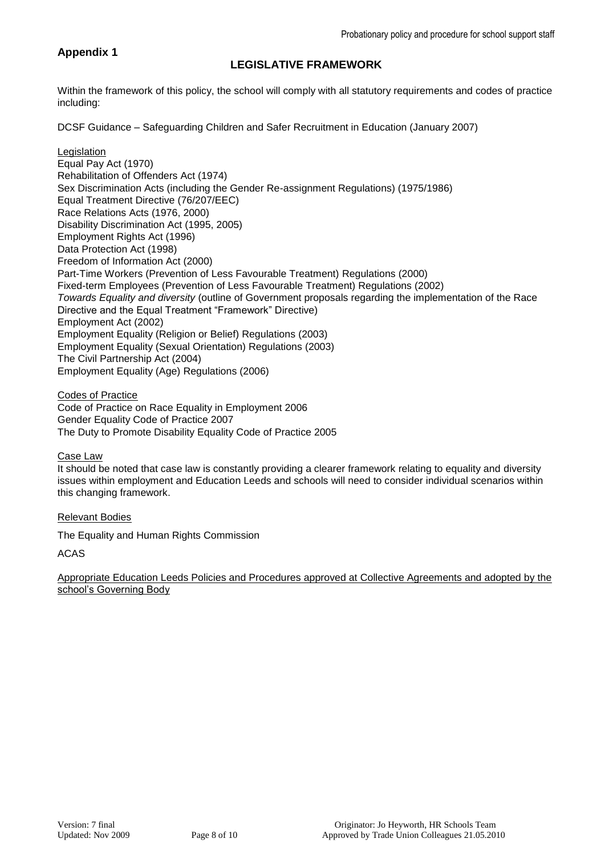# **Appendix 1**

# **LEGISLATIVE FRAMEWORK**

Within the framework of this policy, the school will comply with all statutory requirements and codes of practice including:

DCSF Guidance – Safeguarding Children and Safer Recruitment in Education (January 2007)

Legislation Equal Pay Act (1970) Rehabilitation of Offenders Act (1974) Sex Discrimination Acts (including the Gender Re-assignment Regulations) (1975/1986) Equal Treatment Directive (76/207/EEC) Race Relations Acts (1976, 2000) Disability Discrimination Act (1995, 2005) Employment Rights Act (1996) Data Protection Act (1998) Freedom of Information Act (2000) Part-Time Workers (Prevention of Less Favourable Treatment) Regulations (2000) Fixed-term Employees (Prevention of Less Favourable Treatment) Regulations (2002) *Towards Equality and diversity* (outline of Government proposals regarding the implementation of the Race Directive and the Equal Treatment "Framework" Directive) Employment Act (2002) Employment Equality (Religion or Belief) Regulations (2003) Employment Equality (Sexual Orientation) Regulations (2003) The Civil Partnership Act (2004) Employment Equality (Age) Regulations (2006)

Codes of Practice Code of Practice on Race Equality in Employment 2006 Gender Equality Code of Practice 2007 The Duty to Promote Disability Equality Code of Practice 2005

Case Law

It should be noted that case law is constantly providing a clearer framework relating to equality and diversity issues within employment and Education Leeds and schools will need to consider individual scenarios within this changing framework.

# Relevant Bodies

The Equality and Human Rights Commission

ACAS

Appropriate Education Leeds Policies and Procedures approved at Collective Agreements and adopted by the school's Governing Body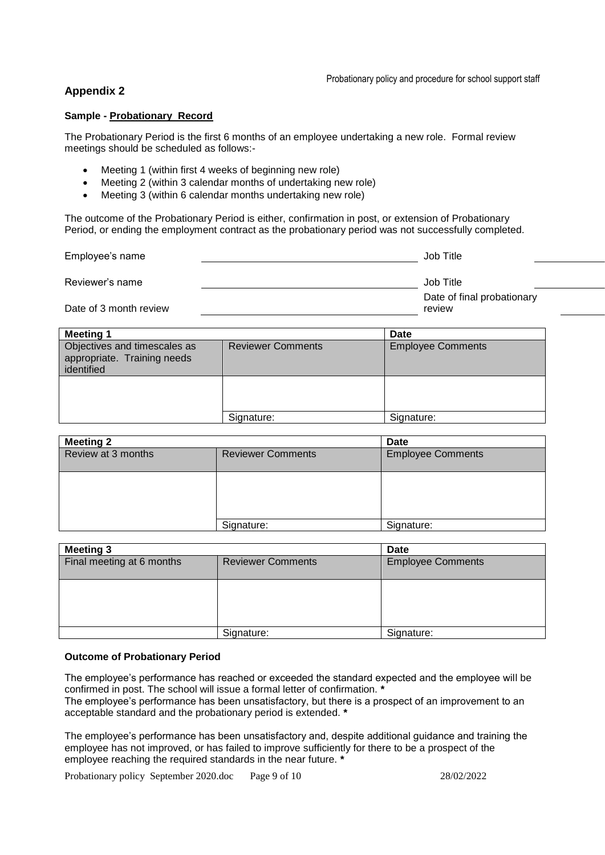# **Appendix 2**

#### **Sample - Probationary Record**

The Probationary Period is the first 6 months of an employee undertaking a new role. Formal review meetings should be scheduled as follows:-

- Meeting 1 (within first 4 weeks of beginning new role)
- Meeting 2 (within 3 calendar months of undertaking new role)
- Meeting 3 (within 6 calendar months undertaking new role)

The outcome of the Probationary Period is either, confirmation in post, or extension of Probationary Period, or ending the employment contract as the probationary period was not successfully completed.

| Employee's name        | Job Title                            |
|------------------------|--------------------------------------|
| Reviewer's name        | Job Title                            |
| Date of 3 month review | Date of final probationary<br>review |

| <b>Meeting 1</b>                                                          |                          | <b>Date</b>              |
|---------------------------------------------------------------------------|--------------------------|--------------------------|
| Objectives and timescales as<br>appropriate. Training needs<br>identified | <b>Reviewer Comments</b> | <b>Employee Comments</b> |
|                                                                           |                          |                          |
|                                                                           | Signature:               | Signature:               |

| <b>Meeting 2</b>   |                          | <b>Date</b>              |
|--------------------|--------------------------|--------------------------|
| Review at 3 months | <b>Reviewer Comments</b> | <b>Employee Comments</b> |
|                    |                          |                          |
|                    | Signature:               | Signature:               |

| <b>Meeting 3</b>          |                          | <b>Date</b>              |
|---------------------------|--------------------------|--------------------------|
| Final meeting at 6 months | <b>Reviewer Comments</b> | <b>Employee Comments</b> |
|                           |                          |                          |
|                           | Signature:               | Signature:               |

#### **Outcome of Probationary Period**

The employee's performance has reached or exceeded the standard expected and the employee will be confirmed in post. The school will issue a formal letter of confirmation. **\***

The employee's performance has been unsatisfactory, but there is a prospect of an improvement to an acceptable standard and the probationary period is extended. **\***

The employee's performance has been unsatisfactory and, despite additional guidance and training the employee has not improved, or has failed to improve sufficiently for there to be a prospect of the employee reaching the required standards in the near future. **\***

Probationary policy September 2020.doc Page 9 of 10 28/02/2022